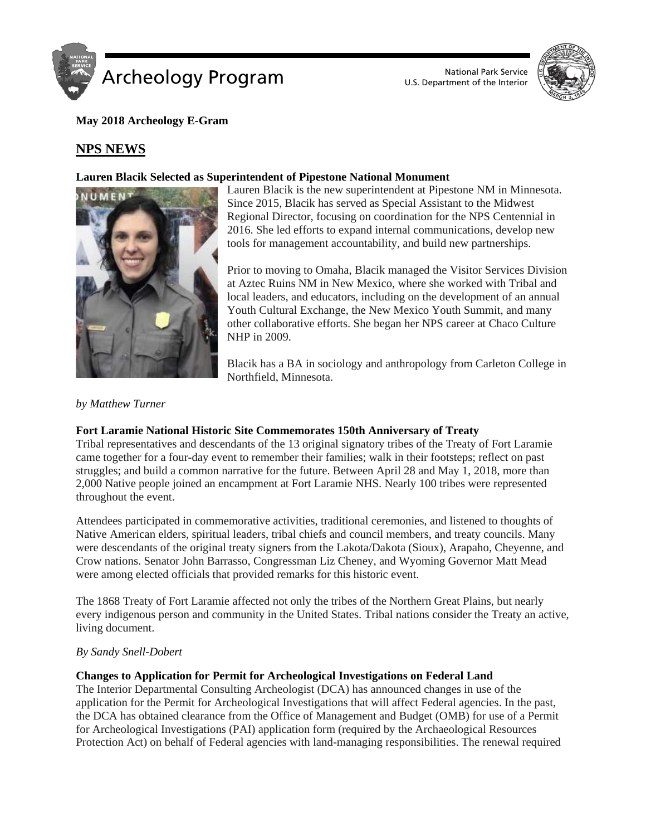



### **May 2018 Archeology E-Gram**

## **NPS NEWS**

#### **Lauren Blacik Selected as Superintendent of Pipestone National Monument**



Lauren Blacik is the new superintendent at Pipestone NM in Minnesota. Since 2015, Blacik has served as Special Assistant to the Midwest Regional Director, focusing on coordination for the NPS Centennial in 2016. She led efforts to expand internal communications, develop new tools for management accountability, and build new partnerships.

Prior to moving to Omaha, Blacik managed the Visitor Services Division at Aztec Ruins NM in New Mexico, where she worked with Tribal and local leaders, and educators, including on the development of an annual Youth Cultural Exchange, the New Mexico Youth Summit, and many other collaborative efforts. She began her NPS career at Chaco Culture NHP in 2009.

Blacik has a BA in sociology and anthropology from Carleton College in Northfield, Minnesota.

#### *by Matthew Turner*

#### **Fort Laramie National Historic Site Commemorates 150th Anniversary of Treaty**

Tribal representatives and descendants of the 13 original signatory tribes of the Treaty of Fort Laramie came together for a four-day event to remember their families; walk in their footsteps; reflect on past struggles; and build a common narrative for the future. Between April 28 and May 1, 2018, more than 2,000 Native people joined an encampment at Fort Laramie NHS. Nearly 100 tribes were represented throughout the event.

Attendees participated in commemorative activities, traditional ceremonies, and listened to thoughts of Native American elders, spiritual leaders, tribal chiefs and council members, and treaty councils. Many were descendants of the original treaty signers from the Lakota/Dakota (Sioux), Arapaho, Cheyenne, and Crow nations. Senator John Barrasso, Congressman Liz Cheney, and Wyoming Governor Matt Mead were among elected officials that provided remarks for this historic event.

The 1868 Treaty of Fort Laramie affected not only the tribes of the Northern Great Plains, but nearly every indigenous person and community in the United States. Tribal nations consider the Treaty an active, living document.

#### *By Sandy Snell-Dobert*

#### **Changes to Application for Permit for Archeological Investigations on Federal Land**

The Interior Departmental Consulting Archeologist (DCA) has announced changes in use of the application for the Permit for Archeological Investigations that will affect Federal agencies. In the past, the DCA has obtained clearance from the Office of Management and Budget (OMB) for use of a Permit for Archeological Investigations (PAI) application form (required by the Archaeological Resources Protection Act) on behalf of Federal agencies with land-managing responsibilities. The renewal required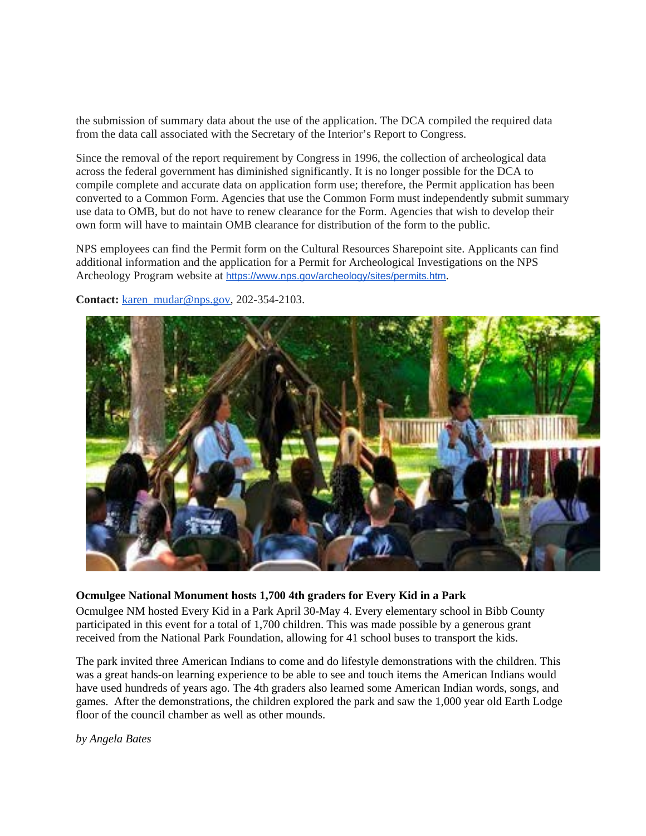the submission of summary data about the use of the application. The DCA compiled the required data from the data call associated with the Secretary of the Interior's Report to Congress.

Since the removal of the report requirement by Congress in 1996, the collection of archeological data across the federal government has diminished significantly. It is no longer possible for the DCA to compile complete and accurate data on application form use; therefore, the Permit application has been converted to a Common Form. Agencies that use the Common Form must independently submit summary use data to OMB, but do not have to renew clearance for the Form. Agencies that wish to develop their own form will have to maintain OMB clearance for distribution of the form to the public.

NPS employees can find the Permit form on the Cultural Resources Sharepoint site. Applicants can find additional information and the application for a Permit for Archeological Investigations on the NPS Archeology Program website at <https://www.nps.gov/archeology/sites/permits.htm>.

**Contact:** [karen\\_mudar@nps.gov,](mailto:karen_mudar@nps.gov) 202-354-2103.

#### **Ocmulgee National Monument hosts 1,700 4th graders for Every Kid in a Park**

Ocmulgee NM hosted Every Kid in a Park April 30-May 4. Every elementary school in Bibb County participated in this event for a total of 1,700 children. This was made possible by a generous grant received from the National Park Foundation, allowing for 41 school buses to transport the kids.

The park invited three American Indians to come and do lifestyle demonstrations with the children. This was a great hands-on learning experience to be able to see and touch items the American Indians would have used hundreds of years ago. The 4th graders also learned some American Indian words, songs, and games. After the demonstrations, the children explored the park and saw the 1,000 year old Earth Lodge floor of the council chamber as well as other mounds.

*by Angela Bates*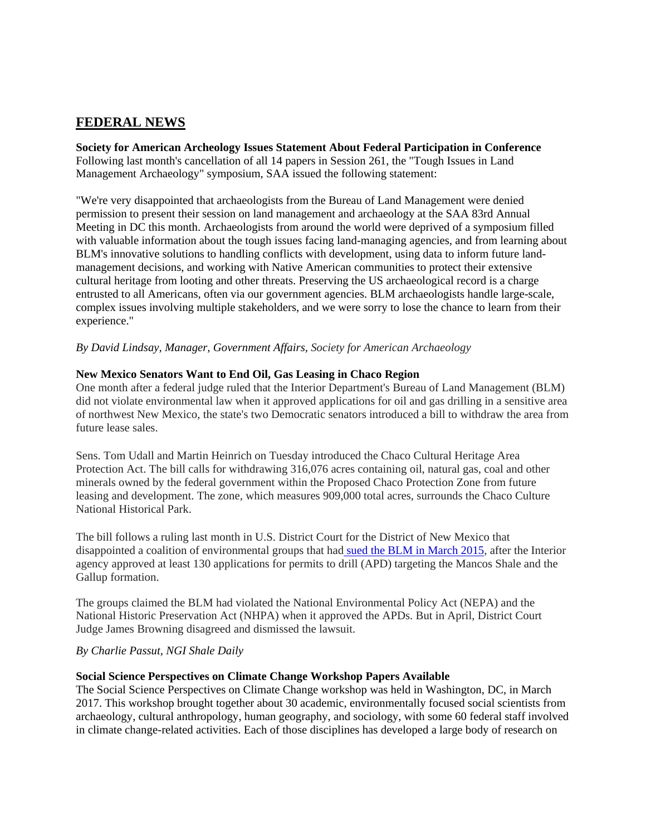# **FEDERAL NEWS**

**Society for American Archeology Issues Statement About Federal Participation in Conference** Following last month's cancellation of all 14 papers in Session 261, the "Tough Issues in Land Management Archaeology" symposium, SAA issued the following statement:

"We're very disappointed that archaeologists from the Bureau of Land Management were denied permission to present their session on land management and archaeology at the SAA 83rd Annual Meeting in DC this month. Archaeologists from around the world were deprived of a symposium filled with valuable information about the tough issues facing land-managing agencies, and from learning about BLM's innovative solutions to handling conflicts with development, using data to inform future landmanagement decisions, and working with Native American communities to protect their extensive cultural heritage from looting and other threats. Preserving the US archaeological record is a charge entrusted to all Americans, often via our government agencies. BLM archaeologists handle large-scale, complex issues involving multiple stakeholders, and we were sorry to lose the chance to learn from their experience."

*By David Lindsay, Manager, Government Affairs, Society for American Archaeology*

### **New Mexico Senators Want to End Oil, Gas Leasing in Chaco Region**

One month after a federal judge ruled that the Interior Department's Bureau of Land Management (BLM) did not violate environmental law when it approved applications for oil and gas drilling in a sensitive area of northwest New Mexico, the state's two Democratic senators introduced a bill to withdraw the area from future lease sales.

Sens. Tom Udall and Martin Heinrich on Tuesday introduced the Chaco Cultural Heritage Area Protection Act. The bill calls for withdrawing 316,076 acres containing oil, natural gas, coal and other minerals owned by the federal government within the Proposed Chaco Protection Zone from future leasing and development. The zone, which measures 909,000 total acres, surrounds the Chaco Culture National Historical Park.

The bill follows a ruling last month in U.S. District Court for the District of New Mexico that disappointed a coalition of environmental groups that had [sued the BLM in March 2015,](http://www.naturalgasintel.com/articles/103361-federal-court-in-new-mexico-oks-drilling-in-mancos-shale-enviros-push-back) after the Interior agency approved at least 130 applications for permits to drill (APD) targeting the Mancos Shale and the Gallup formation.

The groups claimed the BLM had violated the National Environmental Policy Act (NEPA) and the National Historic Preservation Act (NHPA) when it approved the APDs. But in April, District Court Judge James Browning disagreed and dismissed the lawsuit.

#### *By Charlie Passut, NGI Shale Daily*

#### **Social Science Perspectives on Climate Change Workshop Papers Available**

The Social Science Perspectives on Climate Change workshop was held in Washington, DC, in March 2017. This workshop brought together about 30 academic, environmentally focused social scientists from archaeology, cultural anthropology, human geography, and sociology, with some 60 federal staff involved in climate change-related activities. Each of those disciplines has developed a large body of research on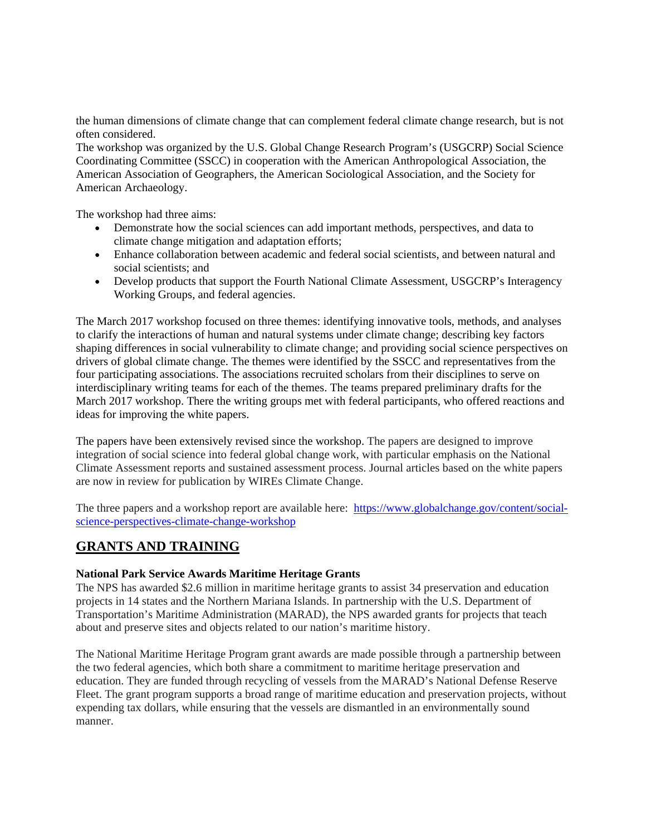the human dimensions of climate change that can complement federal climate change research, but is not often considered.

The workshop was organized by the U.S. Global Change Research Program's (USGCRP) Social Science Coordinating Committee (SSCC) in cooperation with the American Anthropological Association, the American Association of Geographers, the American Sociological Association, and the Society for American Archaeology.

The workshop had three aims:

- Demonstrate how the social sciences can add important methods, perspectives, and data to climate change mitigation and adaptation efforts;
- Enhance collaboration between academic and federal social scientists, and between natural and social scientists; and
- Develop products that support the Fourth National Climate Assessment, USGCRP's Interagency Working Groups, and federal agencies.

The March 2017 workshop focused on three themes: identifying innovative tools, methods, and analyses to clarify the interactions of human and natural systems under climate change; describing key factors shaping differences in social vulnerability to climate change; and providing social science perspectives on drivers of global climate change. The themes were identified by the SSCC and representatives from the four participating associations. The associations recruited scholars from their disciplines to serve on interdisciplinary writing teams for each of the themes. The teams prepared preliminary drafts for the March 2017 workshop. There the writing groups met with federal participants, who offered reactions and ideas for improving the white papers.

The papers have been extensively revised since the workshop. The papers are designed to improve integration of social science into federal global change work, with particular emphasis on the National Climate Assessment reports and sustained assessment process. Journal articles based on the white papers are now in review for publication by WIREs Climate Change.

The three papers and a workshop report are available here: [https://www.globalchange.gov/content/social](https://www.globalchange.gov/content/social-science-perspectives-climate-change-workshop)[science-perspectives-climate-change-workshop](https://www.globalchange.gov/content/social-science-perspectives-climate-change-workshop)

## **GRANTS AND TRAINING**

#### **National Park Service Awards Maritime Heritage Grants**

The NPS has awarded \$2.6 million in maritime heritage grants to assist 34 preservation and education projects in 14 states and the Northern Mariana Islands. In partnership with the U.S. Department of Transportation's Maritime Administration (MARAD), the NPS awarded grants for projects that teach about and preserve sites and objects related to our nation's maritime history.

The National Maritime Heritage Program grant awards are made possible through a partnership between the two federal agencies, which both share a commitment to maritime heritage preservation and education. They are funded through recycling of vessels from the MARAD's National Defense Reserve Fleet. The grant program supports a broad range of maritime education and preservation projects, without expending tax dollars, while ensuring that the vessels are dismantled in an environmentally sound manner.